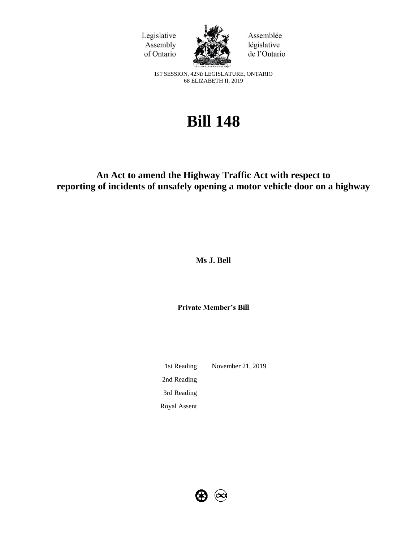



Assemblée législative de l'Ontario

1ST SESSION, 42ND LEGISLATURE, ONTARIO 68 ELIZABETH II, 2019

# **Bill 148**

# **An Act to amend the Highway Traffic Act with respect to reporting of incidents of unsafely opening a motor vehicle door on a highway**

**Ms J. Bell**

**Private Member's Bill**

1st Reading November 21, 2019 2nd Reading 3rd Reading Royal Assent